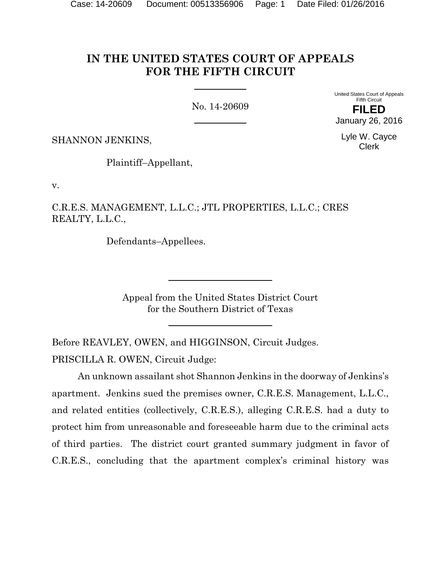# **IN THE UNITED STATES COURT OF APPEALS FOR THE FIFTH CIRCUIT**

No. 14-20609

United States Court of Appeals Fifth Circuit **FILED** January 26, 2016

Lyle W. Cayce Clerk

SHANNON JENKINS,

Plaintiff–Appellant,

v.

C.R.E.S. MANAGEMENT, L.L.C.; JTL PROPERTIES, L.L.C.; CRES REALTY, L.L.C.,

Defendants–Appellees.

Appeal from the United States District Court for the Southern District of Texas

Before REAVLEY, OWEN, and HIGGINSON, Circuit Judges. PRISCILLA R. OWEN, Circuit Judge:

An unknown assailant shot Shannon Jenkins in the doorway of Jenkins's apartment. Jenkins sued the premises owner, C.R.E.S. Management, L.L.C., and related entities (collectively, C.R.E.S.), alleging C.R.E.S. had a duty to protect him from unreasonable and foreseeable harm due to the criminal acts of third parties. The district court granted summary judgment in favor of C.R.E.S., concluding that the apartment complex's criminal history was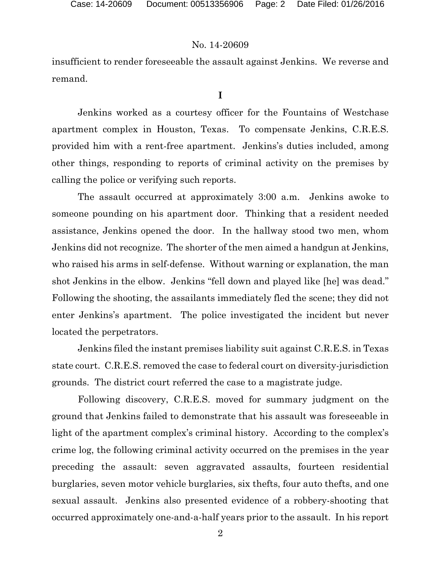insufficient to render foreseeable the assault against Jenkins. We reverse and remand.

**I**

Jenkins worked as a courtesy officer for the Fountains of Westchase apartment complex in Houston, Texas. To compensate Jenkins, C.R.E.S. provided him with a rent-free apartment. Jenkins's duties included, among other things, responding to reports of criminal activity on the premises by calling the police or verifying such reports.

The assault occurred at approximately 3:00 a.m. Jenkins awoke to someone pounding on his apartment door. Thinking that a resident needed assistance, Jenkins opened the door. In the hallway stood two men, whom Jenkins did not recognize. The shorter of the men aimed a handgun at Jenkins, who raised his arms in self-defense. Without warning or explanation, the man shot Jenkins in the elbow. Jenkins "fell down and played like [he] was dead." Following the shooting, the assailants immediately fled the scene; they did not enter Jenkins's apartment. The police investigated the incident but never located the perpetrators.

Jenkins filed the instant premises liability suit against C.R.E.S. in Texas state court. C.R.E.S. removed the case to federal court on diversity-jurisdiction grounds. The district court referred the case to a magistrate judge.

Following discovery, C.R.E.S. moved for summary judgment on the ground that Jenkins failed to demonstrate that his assault was foreseeable in light of the apartment complex's criminal history. According to the complex's crime log, the following criminal activity occurred on the premises in the year preceding the assault: seven aggravated assaults, fourteen residential burglaries, seven motor vehicle burglaries, six thefts, four auto thefts, and one sexual assault. Jenkins also presented evidence of a robbery-shooting that occurred approximately one-and-a-half years prior to the assault. In his report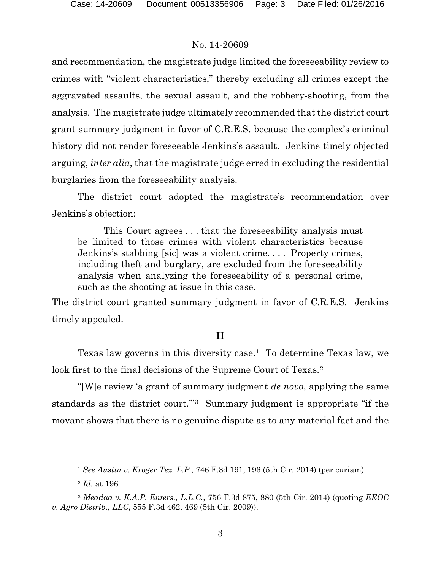and recommendation, the magistrate judge limited the foreseeability review to crimes with "violent characteristics," thereby excluding all crimes except the aggravated assaults, the sexual assault, and the robbery-shooting, from the analysis. The magistrate judge ultimately recommended that the district court grant summary judgment in favor of C.R.E.S. because the complex's criminal history did not render foreseeable Jenkins's assault. Jenkins timely objected arguing, *inter alia*, that the magistrate judge erred in excluding the residential burglaries from the foreseeability analysis.

The district court adopted the magistrate's recommendation over Jenkins's objection:

This Court agrees . . . that the foreseeability analysis must be limited to those crimes with violent characteristics because Jenkins's stabbing [sic] was a violent crime. . . . Property crimes, including theft and burglary, are excluded from the foreseeability analysis when analyzing the foreseeability of a personal crime, such as the shooting at issue in this case.

The district court granted summary judgment in favor of C.R.E.S. Jenkins timely appealed.

### **II**

Texas law governs in this diversity case[.1](#page-2-0) To determine Texas law, we look first to the final decisions of the Supreme Court of Texas.<sup>[2](#page-2-1)</sup>

"[W]e review 'a grant of summary judgment *de novo*, applying the same standards as the district court."<sup>3</sup> Summary judgment is appropriate "if the movant shows that there is no genuine dispute as to any material fact and the

 $\overline{a}$ 

<sup>1</sup> *See Austin v. Kroger Tex. L.P.*, 746 F.3d 191, 196 (5th Cir. 2014) (per curiam).

<sup>2</sup> *Id.* at 196.

<span id="page-2-2"></span><span id="page-2-1"></span><span id="page-2-0"></span><sup>3</sup> *Meadaa v. K.A.P. Enters., L.L.C.*, 756 F.3d 875, 880 (5th Cir. 2014) (quoting *EEOC v. Agro Distrib., LLC*, 555 F.3d 462, 469 (5th Cir. 2009)).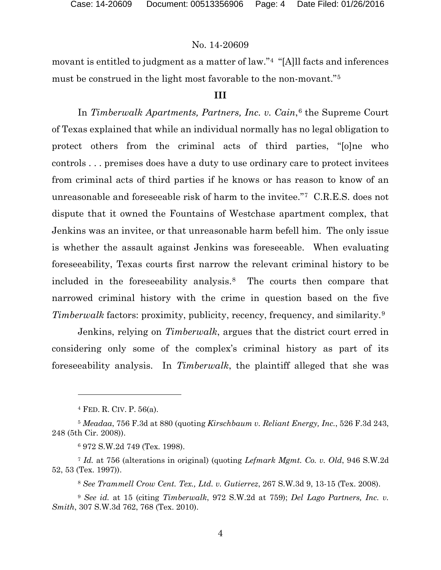movant is entitled to judgment as a matter of law."[4](#page-3-0) "[A]ll facts and inferences must be construed in the light most favorable to the non-movant."[5](#page-3-1)

#### **III**

In *Timberwalk Apartments, Partners, Inc. v. Cain*,<sup>[6](#page-3-2)</sup> the Supreme Court of Texas explained that while an individual normally has no legal obligation to protect others from the criminal acts of third parties, "[o]ne who controls . . . premises does have a duty to use ordinary care to protect invitees from criminal acts of third parties if he knows or has reason to know of an unreasonable and foreseeable risk of harm to the invitee."[7](#page-3-3) C.R.E.S. does not dispute that it owned the Fountains of Westchase apartment complex, that Jenkins was an invitee, or that unreasonable harm befell him. The only issue is whether the assault against Jenkins was foreseeable. When evaluating foreseeability, Texas courts first narrow the relevant criminal history to be included in the foreseeability analysis.[8](#page-3-4) The courts then compare that narrowed criminal history with the crime in question based on the five *Timberwalk* factors: proximity, publicity, recency, frequency, and similarity.<sup>[9](#page-3-5)</sup>

Jenkins, relying on *Timberwalk*, argues that the district court erred in considering only some of the complex's criminal history as part of its foreseeability analysis. In *Timberwalk*, the plaintiff alleged that she was

 $\overline{a}$ 

<sup>8</sup> *See Trammell Crow Cent. Tex., Ltd. v. Gutierrez*, 267 S.W.3d 9, 13-15 (Tex. 2008).

<sup>4</sup> FED. R. CIV. P. 56(a).

<span id="page-3-1"></span><span id="page-3-0"></span><sup>5</sup> *Meadaa*, 756 F.3d at 880 (quoting *Kirschbaum v. Reliant Energy, Inc.*, 526 F.3d 243, 248 (5th Cir. 2008)).

<sup>6</sup> 972 S.W.2d 749 (Tex. 1998).

<span id="page-3-3"></span><span id="page-3-2"></span><sup>7</sup> *Id.* at 756 (alterations in original) (quoting *Lefmark Mgmt. Co. v. Old*, 946 S.W.2d 52, 53 (Tex. 1997)).

<span id="page-3-5"></span><span id="page-3-4"></span><sup>9</sup> *See id.* at 15 (citing *Timberwalk*, 972 S.W.2d at 759); *Del Lago Partners, Inc. v. Smith*, 307 S.W.3d 762, 768 (Tex. 2010).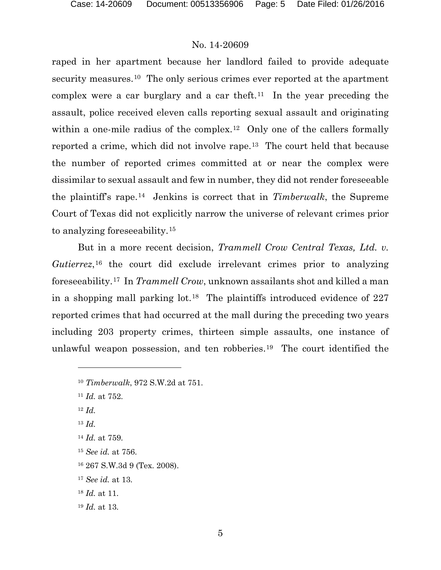raped in her apartment because her landlord failed to provide adequate security measures.<sup>[10](#page-4-0)</sup> The only serious crimes ever reported at the apartment complex were a car burglary and a car theft.<sup>11</sup> In the year preceding the assault, police received eleven calls reporting sexual assault and originating within a one-mile radius of the complex.<sup>12</sup> Only one of the callers formally reported a crime, which did not involve rape.[13](#page-4-3) The court held that because the number of reported crimes committed at or near the complex were dissimilar to sexual assault and few in number, they did not render foreseeable the plaintiff's rape.[14](#page-4-4) Jenkins is correct that in *Timberwalk*, the Supreme Court of Texas did not explicitly narrow the universe of relevant crimes prior to analyzing foreseeability.[15](#page-4-5)

But in a more recent decision, *Trammell Crow Central Texas, Ltd. v. Gutierrez*,[16](#page-4-6) the court did exclude irrelevant crimes prior to analyzing foreseeability.[17](#page-4-7) In *Trammell Crow*, unknown assailants shot and killed a man in a shopping mall parking lot.[18](#page-4-8) The plaintiffs introduced evidence of 227 reported crimes that had occurred at the mall during the preceding two years including 203 property crimes, thirteen simple assaults, one instance of unlawful weapon possession, and ten robberies.[19](#page-4-9) The court identified the

- <span id="page-4-0"></span><sup>10</sup> *Timberwalk*, 972 S.W.2d at 751.
- <span id="page-4-1"></span><sup>11</sup> *Id.* at 752.
- <span id="page-4-2"></span><sup>12</sup> *Id.*

l

- <span id="page-4-3"></span><sup>13</sup> *Id.*
- <span id="page-4-4"></span><sup>14</sup> *Id.* at 759.
- <span id="page-4-5"></span><sup>15</sup> *See id.* at 756.
- <span id="page-4-6"></span><sup>16</sup> 267 S.W.3d 9 (Tex. 2008).
- <span id="page-4-7"></span><sup>17</sup> *See id.* at 13.
- <span id="page-4-8"></span><sup>18</sup> *Id.* at 11.
- <span id="page-4-9"></span><sup>19</sup> *Id.* at 13.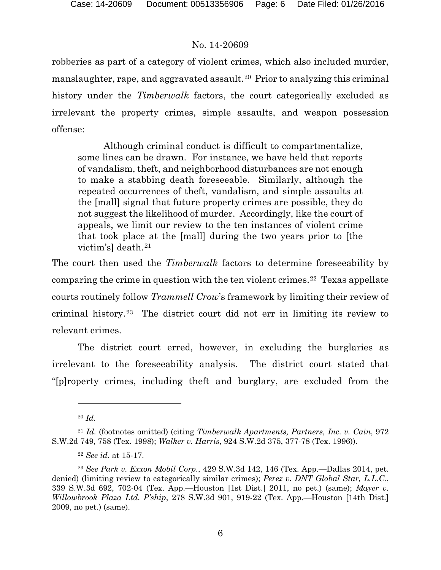robberies as part of a category of violent crimes, which also included murder, manslaughter, rape, and aggravated assault.[20](#page-5-0) Prior to analyzing this criminal history under the *Timberwalk* factors, the court categorically excluded as irrelevant the property crimes, simple assaults, and weapon possession offense:

Although criminal conduct is difficult to compartmentalize, some lines can be drawn. For instance, we have held that reports of vandalism, theft, and neighborhood disturbances are not enough to make a stabbing death foreseeable. Similarly, although the repeated occurrences of theft, vandalism, and simple assaults at the [mall] signal that future property crimes are possible, they do not suggest the likelihood of murder. Accordingly, like the court of appeals, we limit our review to the ten instances of violent crime that took place at the [mall] during the two years prior to [the victim's] death.[21](#page-5-1)

The court then used the *Timberwalk* factors to determine foreseeability by comparing the crime in question with the ten violent crimes.<sup>22</sup> Texas appellate courts routinely follow *Trammell Crow*'s framework by limiting their review of criminal history.[23](#page-5-3) The district court did not err in limiting its review to relevant crimes.

The district court erred, however, in excluding the burglaries as irrelevant to the foreseeability analysis. The district court stated that "[p]roperty crimes, including theft and burglary, are excluded from the

 $\overline{a}$ 

<sup>20</sup> *Id.*

<span id="page-5-1"></span><span id="page-5-0"></span><sup>21</sup> *Id.* (footnotes omitted) (citing *Timberwalk Apartments, Partners, Inc. v. Cain*, 972 S.W.2d 749, 758 (Tex. 1998); *Walker v. Harris*, 924 S.W.2d 375, 377-78 (Tex. 1996)).

<sup>22</sup> *See id.* at 15-17.

<span id="page-5-3"></span><span id="page-5-2"></span><sup>23</sup> *See Park v. Exxon Mobil Corp.*, 429 S.W.3d 142, 146 (Tex. App.—Dallas 2014, pet. denied) (limiting review to categorically similar crimes); *Perez v. DNT Global Star, L.L.C.*, 339 S.W.3d 692, 702-04 (Tex. App.—Houston [1st Dist.] 2011, no pet.) (same); *Mayer v. Willowbrook Plaza Ltd. P'ship*, 278 S.W.3d 901, 919-22 (Tex. App.—Houston [14th Dist.] 2009, no pet.) (same).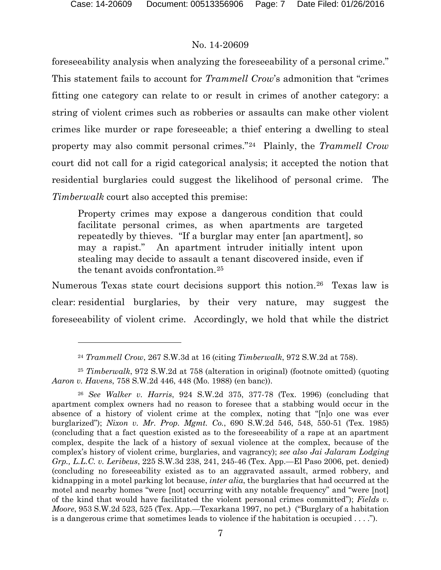l

### No. 14-20609

foreseeability analysis when analyzing the foreseeability of a personal crime." This statement fails to account for *Trammell Crow*'s admonition that "crimes fitting one category can relate to or result in crimes of another category: a string of violent crimes such as robberies or assaults can make other violent crimes like murder or rape foreseeable; a thief entering a dwelling to steal property may also commit personal crimes."[24](#page-6-0) Plainly, the *Trammell Crow* court did not call for a rigid categorical analysis; it accepted the notion that residential burglaries could suggest the likelihood of personal crime. The *Timberwalk* court also accepted this premise:

Property crimes may expose a dangerous condition that could facilitate personal crimes, as when apartments are targeted repeatedly by thieves. "If a burglar may enter [an apartment], so may a rapist." An apartment intruder initially intent upon stealing may decide to assault a tenant discovered inside, even if the tenant avoids confrontation.[25](#page-6-1)

Numerous Texas state court decisions support this notion.<sup>26</sup> Texas law is clear: residential burglaries, by their very nature, may suggest the foreseeability of violent crime. Accordingly, we hold that while the district

<sup>24</sup> *Trammell Crow*, 267 S.W.3d at 16 (citing *Timberwalk*, 972 S.W.2d at 758).

<span id="page-6-1"></span><span id="page-6-0"></span><sup>25</sup> *Timberwalk*, 972 S.W.2d at 758 (alteration in original) (footnote omitted) (quoting *Aaron v. Havens*, 758 S.W.2d 446, 448 (Mo. 1988) (en banc)).

<span id="page-6-2"></span><sup>26</sup> *See Walker v. Harris*, 924 S.W.2d 375, 377-78 (Tex. 1996) (concluding that apartment complex owners had no reason to foresee that a stabbing would occur in the absence of a history of violent crime at the complex, noting that "[n]o one was ever burglarized"); *Nixon v. Mr. Prop. Mgmt. Co.*, 690 S.W.2d 546, 548, 550-51 (Tex. 1985) (concluding that a fact question existed as to the foreseeability of a rape at an apartment complex, despite the lack of a history of sexual violence at the complex, because of the complex's history of violent crime, burglaries, and vagrancy); *see also Jai Jalaram Lodging Grp., L.L.C. v. Leribeus*, 225 S.W.3d 238, 241, 245-46 (Tex. App.—El Paso 2006, pet. denied) (concluding no foreseeability existed as to an aggravated assault, armed robbery, and kidnapping in a motel parking lot because, *inter alia*, the burglaries that had occurred at the motel and nearby homes "were [not] occurring with any notable frequency" and "were [not] of the kind that would have facilitated the violent personal crimes committed"); *Fields v. Moore*, 953 S.W.2d 523, 525 (Tex. App.—Texarkana 1997, no pet.) ("Burglary of a habitation is a dangerous crime that sometimes leads to violence if the habitation is occupied . . . .").